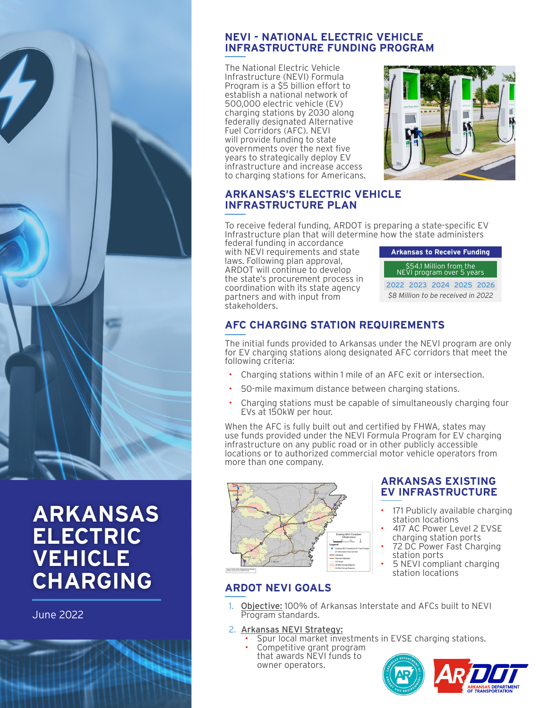

# **ARKANSAS ELECTRIC VEHICLE CHARGING**

June 2022

### **NEVI - NATIONAL ELECTRIC VEHICLE INFRASTRUCTURE FUNDING PROGRAM**

The National Electric Vehicle Infrastructure (NEVI) Formula Program is a \$5 billion effort to establish a national network of 500,000 electric vehicle (EV) charging stations by 2030 along federally designated Alternative Fuel Corridors (AFC). NEVI will provide funding to state governments over the next five years to strategically deploy EV infrastructure and increase access to charging stations for Americans.



## **ARKANSAS'S ELECTRIC VEHICLE INFRASTRUCTURE PLAN**

To receive federal funding, ARDOT is preparing a state-specific EV Infrastructure plan that will determine how the state administers

federal funding in accordance with NEVI requirements and state laws. Following plan approval, ARDOT will continue to develop the state's procurement process in coordination with its state agency partners and with input from stakeholders.

| <b>Arkansas to Receive Funding</b>                   |  |                          |  |  |
|------------------------------------------------------|--|--------------------------|--|--|
| \$54.1 Million from the<br>NEVI program over 5 years |  |                          |  |  |
|                                                      |  | 2022 2023 2024 2025 2026 |  |  |
| \$8 Million to be received in 2022                   |  |                          |  |  |

## **AFC CHARGING STATION REQUIREMENTS**

The initial funds provided to Arkansas under the NEVI program are only for EV charging stations along designated AFC corridors that meet the following criteria:

- Charging stations within 1 mile of an AFC exit or intersection.
- 50-mile maximum distance between charging stations.
- Charging stations must be capable of simultaneously charging four EVs at 150kW per hour.

When the AFC is fully built out and certified by FHWA, states may use funds provided under the NEVI Formula Program for EV charging infrastructure on any public road or in other publicly accessible locations or to authorized commercial motor vehicle operators from more than one company.



# **ARDOT NEVI GOALS**

#### **ARKANSAS EXISTING EV INFRASTRUCTURE**

- 171 Publicly available charging station locations
- 417 AC Power Level 2 EVSE charging station ports
- 72 DC Power Fast Charging station ports
- 5 NEVI compliant charging station locations
- 1. Objective: 100% of Arkansas Interstate and AFCs built to NEVI Program standards.
- 2. Arkansas NEVI Strategy:
	- Spur local market investments in EVSE charging stations.<br>Competitive grant program
	- that awards NEVI funds to owner operators.